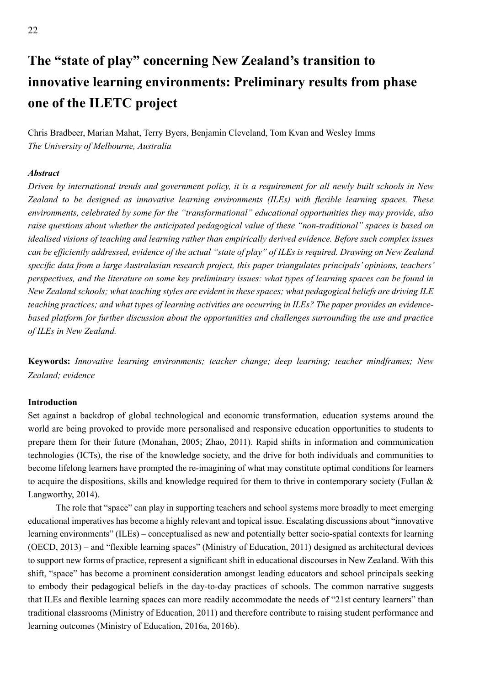# **The "state of play" concerning New Zealand's transition to innovative learning environments: Preliminary results from phase one of the ILETC project**

Chris Bradbeer, Marian Mahat, Terry Byers, Benjamin Cleveland, Tom Kvan and Wesley Imms *The University of Melbourne, Australia*

## *Abstract*

*Driven by international trends and government policy, it is a requirement for all newly built schools in New Zealand to be designed as innovative learning environments (ILEs) with flexible learning spaces. These environments, celebrated by some for the "transformational" educational opportunities they may provide, also raise questions about whether the anticipated pedagogical value of these "non-traditional" spaces is based on idealised visions of teaching and learning rather than empirically derived evidence. Before such complex issues can be efficiently addressed, evidence of the actual "state of play" of ILEs is required. Drawing on New Zealand specific data from a large Australasian research project, this paper triangulates principals' opinions, teachers' perspectives, and the literature on some key preliminary issues: what types of learning spaces can be found in New Zealand schools; what teaching styles are evident in these spaces; what pedagogical beliefs are driving ILE teaching practices; and what types of learning activities are occurring in ILEs? The paper provides an evidencebased platform for further discussion about the opportunities and challenges surrounding the use and practice of ILEs in New Zealand.*

**Keywords:** *Innovative learning environments; teacher change; deep learning; teacher mindframes; New Zealand; evidence*

## **Introduction**

Set against a backdrop of global technological and economic transformation, education systems around the world are being provoked to provide more personalised and responsive education opportunities to students to prepare them for their future (Monahan, 2005; Zhao, 2011). Rapid shifts in information and communication technologies (ICTs), the rise of the knowledge society, and the drive for both individuals and communities to become lifelong learners have prompted the re-imagining of what may constitute optimal conditions for learners to acquire the dispositions, skills and knowledge required for them to thrive in contemporary society (Fullan & Langworthy, 2014).

The role that "space" can play in supporting teachers and school systems more broadly to meet emerging educational imperatives has become a highly relevant and topical issue. Escalating discussions about "innovative learning environments" (ILEs) – conceptualised as new and potentially better socio-spatial contexts for learning (OECD, 2013) – and "flexible learning spaces" (Ministry of Education, 2011) designed as architectural devices to support new forms of practice, represent a significant shift in educational discourses in New Zealand. With this shift, "space" has become a prominent consideration amongst leading educators and school principals seeking to embody their pedagogical beliefs in the day-to-day practices of schools. The common narrative suggests that ILEs and flexible learning spaces can more readily accommodate the needs of "21st century learners" than traditional classrooms (Ministry of Education, 2011) and therefore contribute to raising student performance and learning outcomes (Ministry of Education, 2016a, 2016b).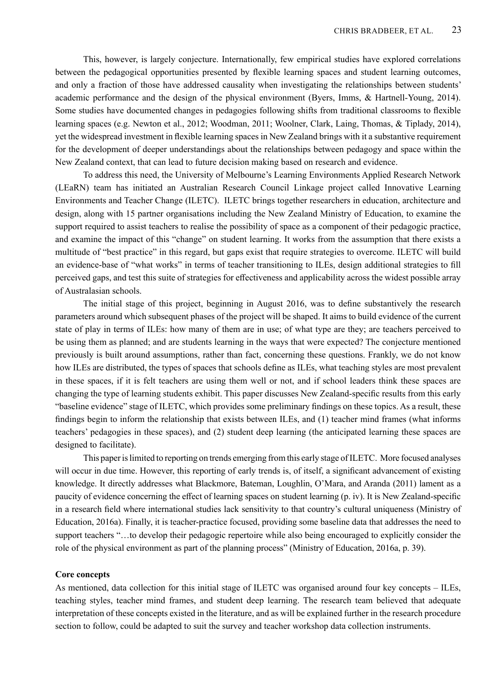This, however, is largely conjecture. Internationally, few empirical studies have explored correlations between the pedagogical opportunities presented by flexible learning spaces and student learning outcomes, and only a fraction of those have addressed causality when investigating the relationships between students' academic performance and the design of the physical environment (Byers, Imms, & Hartnell-Young, 2014). Some studies have documented changes in pedagogies following shifts from traditional classrooms to flexible learning spaces (e.g. Newton et al., 2012; Woodman, 2011; Woolner, Clark, Laing, Thomas, & Tiplady, 2014), yet the widespread investment in flexible learning spaces in New Zealand brings with it a substantive requirement for the development of deeper understandings about the relationships between pedagogy and space within the New Zealand context, that can lead to future decision making based on research and evidence.

To address this need, the University of Melbourne's Learning Environments Applied Research Network (LEaRN) team has initiated an Australian Research Council Linkage project called Innovative Learning Environments and Teacher Change (ILETC). ILETC brings together researchers in education, architecture and design, along with 15 partner organisations including the New Zealand Ministry of Education, to examine the support required to assist teachers to realise the possibility of space as a component of their pedagogic practice, and examine the impact of this "change" on student learning. It works from the assumption that there exists a multitude of "best practice" in this regard, but gaps exist that require strategies to overcome. ILETC will build an evidence-base of "what works" in terms of teacher transitioning to ILEs, design additional strategies to fill perceived gaps, and test this suite of strategies for effectiveness and applicability across the widest possible array of Australasian schools.

The initial stage of this project, beginning in August 2016, was to define substantively the research parameters around which subsequent phases of the project will be shaped. It aims to build evidence of the current state of play in terms of ILEs: how many of them are in use; of what type are they; are teachers perceived to be using them as planned; and are students learning in the ways that were expected? The conjecture mentioned previously is built around assumptions, rather than fact, concerning these questions. Frankly, we do not know how ILEs are distributed, the types of spaces that schools define as ILEs, what teaching styles are most prevalent in these spaces, if it is felt teachers are using them well or not, and if school leaders think these spaces are changing the type of learning students exhibit. This paper discusses New Zealand-specific results from this early "baseline evidence" stage of ILETC, which provides some preliminary findings on these topics. As a result, these findings begin to inform the relationship that exists between ILEs, and (1) teacher mind frames (what informs teachers' pedagogies in these spaces), and (2) student deep learning (the anticipated learning these spaces are designed to facilitate).

This paper is limited to reporting on trends emerging from this early stage of ILETC. More focused analyses will occur in due time. However, this reporting of early trends is, of itself, a significant advancement of existing knowledge. It directly addresses what Blackmore, Bateman, Loughlin, O'Mara, and Aranda (2011) lament as a paucity of evidence concerning the effect of learning spaces on student learning (p. iv). It is New Zealand-specific in a research field where international studies lack sensitivity to that country's cultural uniqueness (Ministry of Education, 2016a). Finally, it is teacher-practice focused, providing some baseline data that addresses the need to support teachers "...to develop their pedagogic repertoire while also being encouraged to explicitly consider the role of the physical environment as part of the planning process" (Ministry of Education, 2016a, p. 39).

#### **Core concepts**

As mentioned, data collection for this initial stage of ILETC was organised around four key concepts – ILEs, teaching styles, teacher mind frames, and student deep learning. The research team believed that adequate interpretation of these concepts existed in the literature, and as will be explained further in the research procedure section to follow, could be adapted to suit the survey and teacher workshop data collection instruments.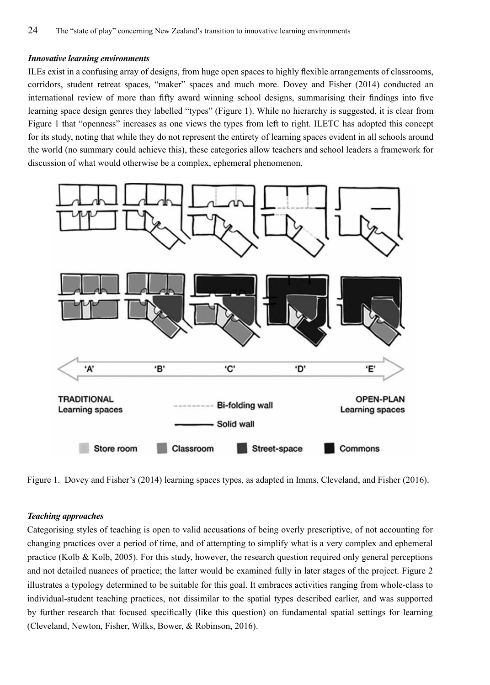#### *Innovative learning environments*

ILEs exist in a confusing array of designs, from huge open spaces to highly flexible arrangements of classrooms, corridors, student retreat spaces, "maker" spaces and much more. Dovey and Fisher (2014) conducted an international review of more than fifty award winning school designs, summarising their findings into five learning space design genres they labelled "types" (Figure 1). While no hierarchy is suggested, it is clear from Figure 1 that "openness" increases as one views the types from left to right. ILETC has adopted this concept for its study, noting that while they do not represent the entirety of learning spaces evident in all schools around the world (no summary could achieve this), these categories allow teachers and school leaders a framework for discussion of what would otherwise be a complex, ephemeral phenomenon.



Figure 1. Dovey and Fisher's (2014) learning spaces types, as adapted in Imms, Cleveland, and Fisher (2016).

#### *Teaching approaches*

Categorising styles of teaching is open to valid accusations of being overly prescriptive, of not accounting for changing practices over a period of time, and of attempting to simplify what is a very complex and ephemeral practice (Kolb & Kolb, 2005). For this study, however, the research question required only general perceptions and not detailed nuances of practice; the latter would be examined fully in later stages of the project. Figure 2 illustrates a typology determined to be suitable for this goal. It embraces activities ranging from whole-class to individual-student teaching practices, not dissimilar to the spatial types described earlier, and was supported by further research that focused specifically (like this question) on fundamental spatial settings for learning (Cleveland, Newton, Fisher, Wilks, Bower, & Robinson, 2016).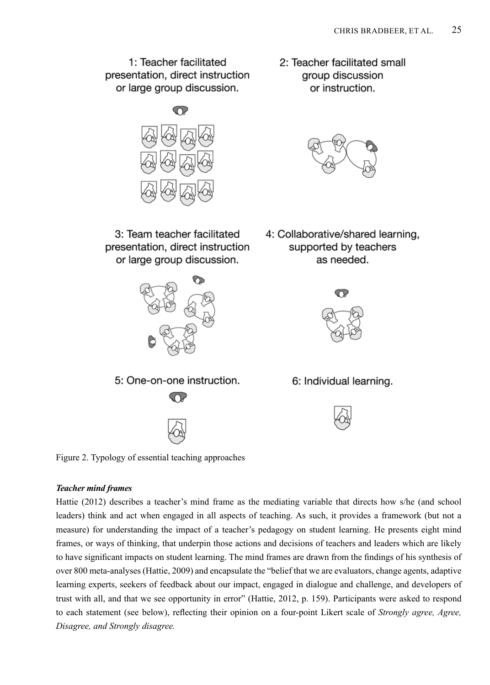1: Teacher facilitated presentation, direct instruction or large group discussion.

2: Teacher facilitated small group discussion or instruction.



3: Team teacher facilitated presentation, direct instruction or large group discussion.



4: Collaborative/shared learning, supported by teachers as needed.





#### *Teacher mind frames*

Hattie (2012) describes a teacher's mind frame as the mediating variable that directs how s/he (and school leaders) think and act when engaged in all aspects of teaching. As such, it provides a framework (but not a measure) for understanding the impact of a teacher's pedagogy on student learning. He presents eight mind frames, or ways of thinking, that underpin those actions and decisions of teachers and leaders which are likely to have significant impacts on student learning. The mind frames are drawn from the findings of his synthesis of over 800 meta-analyses (Hattie, 2009) and encapsulate the "belief that we are evaluators, change agents, adaptive learning experts, seekers of feedback about our impact, engaged in dialogue and challenge, and developers of trust with all, and that we see opportunity in error" (Hattie, 2012, p. 159). Participants were asked to respond to each statement (see below), reflecting their opinion on a four-point Likert scale of *Strongly agree, Agree, Disagree, and Strongly disagree.*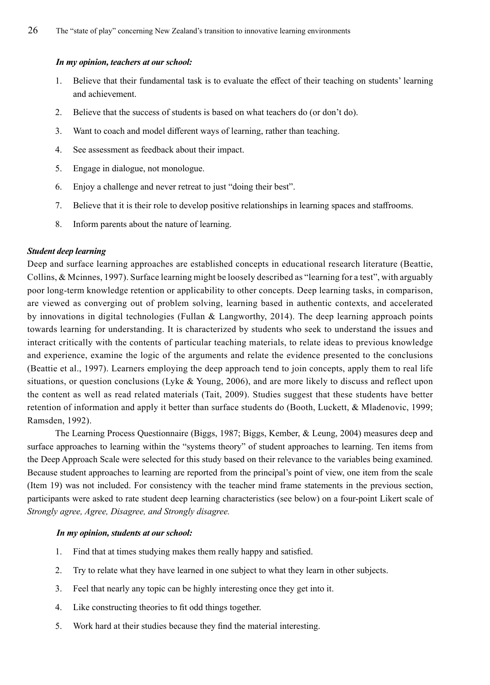#### *In my opinion, teachers at our school:*

- 1. Believe that their fundamental task is to evaluate the effect of their teaching on students' learning and achievement.
- 2. Believe that the success of students is based on what teachers do (or don't do).
- 3. Want to coach and model different ways of learning, rather than teaching.
- 4. See assessment as feedback about their impact.
- 5. Engage in dialogue, not monologue.
- 6. Enjoy a challenge and never retreat to just "doing their best".
- 7. Believe that it is their role to develop positive relationships in learning spaces and staffrooms.
- 8. Inform parents about the nature of learning.

## *Student deep learning*

Deep and surface learning approaches are established concepts in educational research literature (Beattie, Collins, & Mcinnes, 1997). Surface learning might be loosely described as "learning for a test", with arguably poor long-term knowledge retention or applicability to other concepts. Deep learning tasks, in comparison, are viewed as converging out of problem solving, learning based in authentic contexts, and accelerated by innovations in digital technologies (Fullan & Langworthy, 2014). The deep learning approach points towards learning for understanding. It is characterized by students who seek to understand the issues and interact critically with the contents of particular teaching materials, to relate ideas to previous knowledge and experience, examine the logic of the arguments and relate the evidence presented to the conclusions (Beattie et al., 1997). Learners employing the deep approach tend to join concepts, apply them to real life situations, or question conclusions (Lyke & Young, 2006), and are more likely to discuss and reflect upon the content as well as read related materials (Tait, 2009). Studies suggest that these students have better retention of information and apply it better than surface students do (Booth, Luckett, & Mladenovic, 1999; Ramsden, 1992).

The Learning Process Questionnaire (Biggs, 1987; Biggs, Kember, & Leung, 2004) measures deep and surface approaches to learning within the "systems theory" of student approaches to learning. Ten items from the Deep Approach Scale were selected for this study based on their relevance to the variables being examined. Because student approaches to learning are reported from the principal's point of view, one item from the scale (Item 19) was not included. For consistency with the teacher mind frame statements in the previous section, participants were asked to rate student deep learning characteristics (see below) on a four-point Likert scale of *Strongly agree, Agree, Disagree, and Strongly disagree.*

#### *In my opinion, students at our school:*

- 1. Find that at times studying makes them really happy and satisfied.
- 2. Try to relate what they have learned in one subject to what they learn in other subjects.
- 3. Feel that nearly any topic can be highly interesting once they get into it.
- 4. Like constructing theories to fit odd things together.
- 5. Work hard at their studies because they find the material interesting.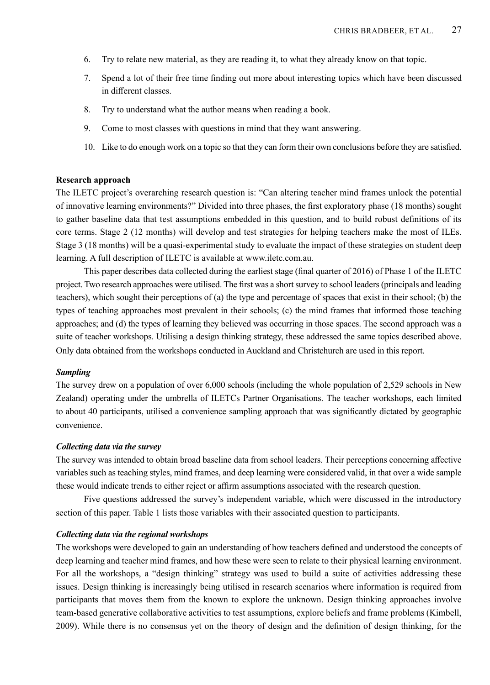- 6. Try to relate new material, as they are reading it, to what they already know on that topic.
- 7. Spend a lot of their free time finding out more about interesting topics which have been discussed in different classes.
- 8. Try to understand what the author means when reading a book.
- 9. Come to most classes with questions in mind that they want answering.
- 10. Like to do enough work on a topic so that they can form their own conclusions before they are satisfied.

#### **Research approach**

The ILETC project's overarching research question is: "Can altering teacher mind frames unlock the potential of innovative learning environments?" Divided into three phases, the first exploratory phase (18 months) sought to gather baseline data that test assumptions embedded in this question, and to build robust definitions of its core terms. Stage 2 (12 months) will develop and test strategies for helping teachers make the most of ILEs. Stage 3 (18 months) will be a quasi-experimental study to evaluate the impact of these strategies on student deep learning. A full description of ILETC is available at www.iletc.com.au.

This paper describes data collected during the earliest stage (final quarter of 2016) of Phase 1 of the ILETC project. Two research approaches were utilised. The first was a short survey to school leaders (principals and leading teachers), which sought their perceptions of (a) the type and percentage of spaces that exist in their school; (b) the types of teaching approaches most prevalent in their schools; (c) the mind frames that informed those teaching approaches; and (d) the types of learning they believed was occurring in those spaces. The second approach was a suite of teacher workshops. Utilising a design thinking strategy, these addressed the same topics described above. Only data obtained from the workshops conducted in Auckland and Christchurch are used in this report.

#### *Sampling*

The survey drew on a population of over 6,000 schools (including the whole population of 2,529 schools in New Zealand) operating under the umbrella of ILETCs Partner Organisations. The teacher workshops, each limited to about 40 participants, utilised a convenience sampling approach that was significantly dictated by geographic convenience.

#### *Collecting data via the survey*

The survey was intended to obtain broad baseline data from school leaders. Their perceptions concerning affective variables such as teaching styles, mind frames, and deep learning were considered valid, in that over a wide sample these would indicate trends to either reject or affirm assumptions associated with the research question.

Five questions addressed the survey's independent variable, which were discussed in the introductory section of this paper. Table 1 lists those variables with their associated question to participants.

#### *Collecting data via the regional workshops*

The workshops were developed to gain an understanding of how teachers defined and understood the concepts of deep learning and teacher mind frames, and how these were seen to relate to their physical learning environment. For all the workshops, a "design thinking" strategy was used to build a suite of activities addressing these issues. Design thinking is increasingly being utilised in research scenarios where information is required from participants that moves them from the known to explore the unknown. Design thinking approaches involve team-based generative collaborative activities to test assumptions, explore beliefs and frame problems (Kimbell, 2009). While there is no consensus yet on the theory of design and the definition of design thinking, for the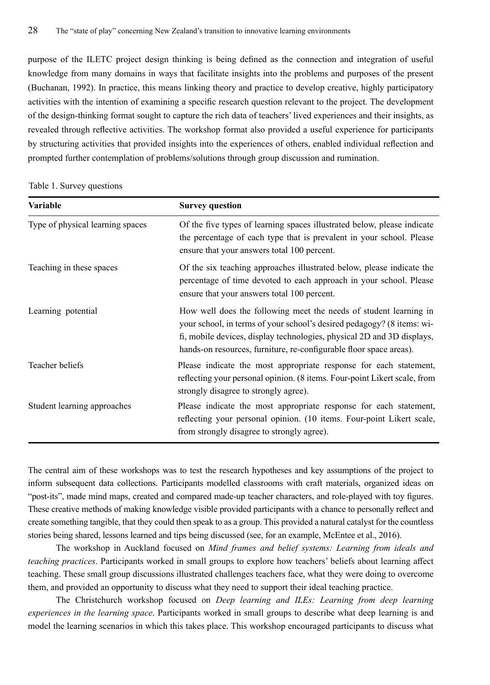purpose of the ILETC project design thinking is being defined as the connection and integration of useful knowledge from many domains in ways that facilitate insights into the problems and purposes of the present (Buchanan, 1992). In practice, this means linking theory and practice to develop creative, highly participatory activities with the intention of examining a specific research question relevant to the project. The development of the design-thinking format sought to capture the rich data of teachers' lived experiences and their insights, as revealed through reflective activities. The workshop format also provided a useful experience for participants by structuring activities that provided insights into the experiences of others, enabled individual reflection and prompted further contemplation of problems/solutions through group discussion and rumination.

Table 1. Survey questions

| <b>Variable</b>                  | <b>Survey question</b>                                                                                                                                                                                                                                                                      |
|----------------------------------|---------------------------------------------------------------------------------------------------------------------------------------------------------------------------------------------------------------------------------------------------------------------------------------------|
| Type of physical learning spaces | Of the five types of learning spaces illustrated below, please indicate<br>the percentage of each type that is prevalent in your school. Please<br>ensure that your answers total 100 percent.                                                                                              |
| Teaching in these spaces         | Of the six teaching approaches illustrated below, please indicate the<br>percentage of time devoted to each approach in your school. Please<br>ensure that your answers total 100 percent.                                                                                                  |
| Learning potential               | How well does the following meet the needs of student learning in<br>your school, in terms of your school's desired pedagogy? (8 items: wi-<br>fi, mobile devices, display technologies, physical 2D and 3D displays,<br>hands-on resources, furniture, re-configurable floor space areas). |
| Teacher beliefs                  | Please indicate the most appropriate response for each statement,<br>reflecting your personal opinion. (8 items. Four-point Likert scale, from<br>strongly disagree to strongly agree).                                                                                                     |
| Student learning approaches      | Please indicate the most appropriate response for each statement,<br>reflecting your personal opinion. (10 items. Four-point Likert scale,<br>from strongly disagree to strongly agree).                                                                                                    |

The central aim of these workshops was to test the research hypotheses and key assumptions of the project to inform subsequent data collections. Participants modelled classrooms with craft materials, organized ideas on "post-its", made mind maps, created and compared made-up teacher characters, and role-played with toy figures. These creative methods of making knowledge visible provided participants with a chance to personally reflect and create something tangible, that they could then speak to as a group. This provided a natural catalyst for the countless stories being shared, lessons learned and tips being discussed (see, for an example, McEntee et al., 2016).

The workshop in Auckland focused on *Mind frames and belief systems: Learning from ideals and teaching practices*. Participants worked in small groups to explore how teachers' beliefs about learning affect teaching. These small group discussions illustrated challenges teachers face, what they were doing to overcome them, and provided an opportunity to discuss what they need to support their ideal teaching practice.

The Christchurch workshop focused on *Deep learning and ILEs: Learning from deep learning experiences in the learning space*. Participants worked in small groups to describe what deep learning is and model the learning scenarios in which this takes place. This workshop encouraged participants to discuss what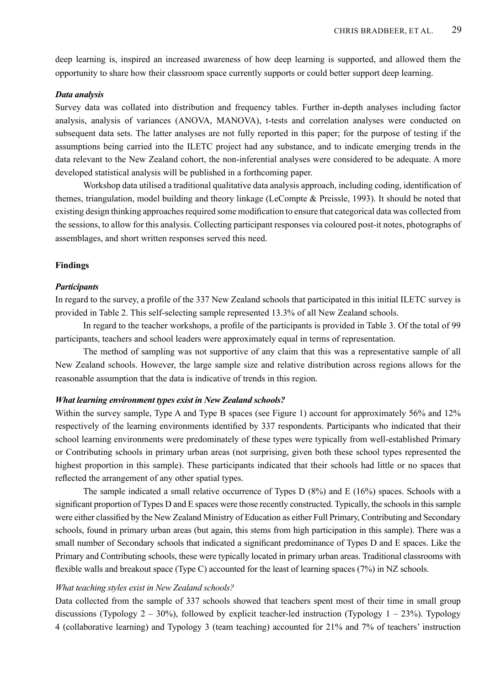deep learning is, inspired an increased awareness of how deep learning is supported, and allowed them the opportunity to share how their classroom space currently supports or could better support deep learning.

## *Data analysis*

Survey data was collated into distribution and frequency tables. Further in-depth analyses including factor analysis, analysis of variances (ANOVA, MANOVA), t-tests and correlation analyses were conducted on subsequent data sets. The latter analyses are not fully reported in this paper; for the purpose of testing if the assumptions being carried into the ILETC project had any substance, and to indicate emerging trends in the data relevant to the New Zealand cohort, the non-inferential analyses were considered to be adequate. A more developed statistical analysis will be published in a forthcoming paper.

Workshop data utilised a traditional qualitative data analysis approach, including coding, identification of themes, triangulation, model building and theory linkage (LeCompte & Preissle, 1993). It should be noted that existing design thinking approaches required some modification to ensure that categorical data was collected from the sessions, to allow for this analysis. Collecting participant responses via coloured post-it notes, photographs of assemblages, and short written responses served this need.

#### **Findings**

## *Participants*

In regard to the survey, a profile of the 337 New Zealand schools that participated in this initial ILETC survey is provided in Table 2. This self-selecting sample represented 13.3% of all New Zealand schools.

In regard to the teacher workshops, a profile of the participants is provided in Table 3. Of the total of 99 participants, teachers and school leaders were approximately equal in terms of representation.

The method of sampling was not supportive of any claim that this was a representative sample of all New Zealand schools. However, the large sample size and relative distribution across regions allows for the reasonable assumption that the data is indicative of trends in this region.

#### *What learning environment types exist in New Zealand schools?*

Within the survey sample, Type A and Type B spaces (see Figure 1) account for approximately 56% and 12% respectively of the learning environments identified by 337 respondents. Participants who indicated that their school learning environments were predominately of these types were typically from well-established Primary or Contributing schools in primary urban areas (not surprising, given both these school types represented the highest proportion in this sample). These participants indicated that their schools had little or no spaces that reflected the arrangement of any other spatial types.

The sample indicated a small relative occurrence of Types D (8%) and E (16%) spaces. Schools with a significant proportion of Types D and E spaces were those recently constructed. Typically, the schools in this sample were either classified by the New Zealand Ministry of Education as either Full Primary, Contributing and Secondary schools, found in primary urban areas (but again, this stems from high participation in this sample). There was a small number of Secondary schools that indicated a significant predominance of Types D and E spaces. Like the Primary and Contributing schools, these were typically located in primary urban areas. Traditional classrooms with flexible walls and breakout space (Type C) accounted for the least of learning spaces (7%) in NZ schools.

## *What teaching styles exist in New Zealand schools?*

Data collected from the sample of 337 schools showed that teachers spent most of their time in small group discussions (Typology  $2 - 30\%$ ), followed by explicit teacher-led instruction (Typology  $1 - 23\%$ ). Typology 4 (collaborative learning) and Typology 3 (team teaching) accounted for 21% and 7% of teachers' instruction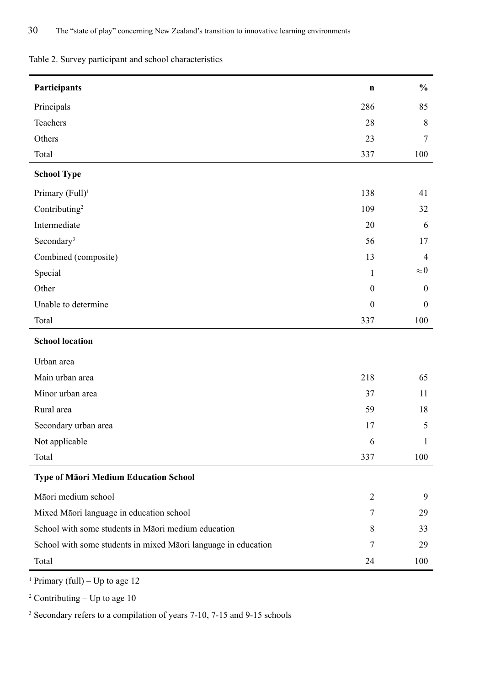Table 2. Survey participant and school characteristics

| Participants                                                   | $\mathbf n$      | $\frac{0}{0}$  |
|----------------------------------------------------------------|------------------|----------------|
| Principals                                                     | 286              | 85             |
| Teachers                                                       | 28               | 8              |
| Others                                                         | 23               | 7              |
| Total                                                          | 337              | 100            |
| <b>School Type</b>                                             |                  |                |
| Primary (Full) <sup>1</sup>                                    | 138              | 41             |
| Contributing <sup>2</sup>                                      | 109              | 32             |
| Intermediate                                                   | 20               | 6              |
| Secondary <sup>3</sup>                                         | 56               | 17             |
| Combined (composite)                                           | 13               | $\overline{4}$ |
| Special                                                        | $\mathbf{1}$     | ${\approx}0$   |
| Other                                                          | $\boldsymbol{0}$ | $\mathbf{0}$   |
| Unable to determine                                            | $\theta$         | $\mathbf{0}$   |
| Total                                                          | 337              | 100            |
| <b>School location</b>                                         |                  |                |
| Urban area                                                     |                  |                |
| Main urban area                                                | 218              | 65             |
| Minor urban area                                               | 37               | 11             |
| Rural area                                                     | 59               | 18             |
| Secondary urban area                                           | 17               | 5              |
| Not applicable                                                 | 6                | 1              |
| Total                                                          | 337              | 100            |
| Type of Māori Medium Education School                          |                  |                |
| Māori medium school                                            | 2                | 9              |
| Mixed Māori language in education school                       | 7                | 29             |
| School with some students in Māori medium education            | 8                | 33             |
| School with some students in mixed Māori language in education | 7                | 29             |
| Total                                                          | 24               | 100            |

1 Primary (full) – Up to age 12

 $2$  Contributing – Up to age 10

<sup>3</sup> Secondary refers to a compilation of years 7-10, 7-15 and 9-15 schools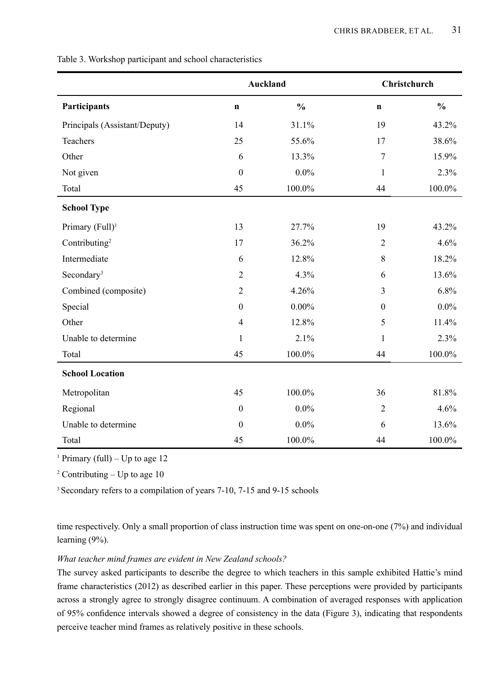|                               | <b>Auckland</b>  |               | Christchurch     |               |
|-------------------------------|------------------|---------------|------------------|---------------|
| Participants                  | $\mathbf n$      | $\frac{0}{0}$ | $\mathbf n$      | $\frac{0}{0}$ |
| Principals (Assistant/Deputy) | 14               | 31.1%         | 19               | 43.2%         |
| Teachers                      | 25               | 55.6%         | 17               | 38.6%         |
| Other                         | 6                | 13.3%         | 7                | 15.9%         |
| Not given                     | $\mathbf{0}$     | $0.0\%$       | $\mathbf{1}$     | 2.3%          |
| Total                         | 45               | 100.0%        | 44               | 100.0%        |
| <b>School Type</b>            |                  |               |                  |               |
| Primary (Full) <sup>1</sup>   | 13               | 27.7%         | 19               | 43.2%         |
| Contributing <sup>2</sup>     | 17               | 36.2%         | $\overline{c}$   | 4.6%          |
| Intermediate                  | 6                | 12.8%         | 8                | 18.2%         |
| Secondary <sup>3</sup>        | $\overline{c}$   | 4.3%          | 6                | 13.6%         |
| Combined (composite)          | $\sqrt{2}$       | 4.26%         | 3                | 6.8%          |
| Special                       | $\boldsymbol{0}$ | $0.00\%$      | $\boldsymbol{0}$ | $0.0\%$       |
| Other                         | $\overline{4}$   | 12.8%         | 5                | 11.4%         |
| Unable to determine           | 1                | 2.1%          | 1                | 2.3%          |
| Total                         | 45               | 100.0%        | 44               | 100.0%        |
| <b>School Location</b>        |                  |               |                  |               |
| Metropolitan                  | 45               | $100.0\%$     | 36               | 81.8%         |
| Regional                      | $\boldsymbol{0}$ | $0.0\%$       | $\overline{2}$   | 4.6%          |
| Unable to determine           | $\boldsymbol{0}$ | $0.0\%$       | 6                | 13.6%         |
| Total                         | 45               | $100.0\%$     | 44               | $100.0\%$     |

Table 3. Workshop participant and school characteristics

1 Primary (full) – Up to age 12

 $2$  Contributing – Up to age 10

<sup>3</sup> Secondary refers to a compilation of years 7-10, 7-15 and 9-15 schools

time respectively. Only a small proportion of class instruction time was spent on one-on-one (7%) and individual learning (9%).

## *What teacher mind frames are evident in New Zealand schools?*

The survey asked participants to describe the degree to which teachers in this sample exhibited Hattie's mind frame characteristics (2012) as described earlier in this paper. These perceptions were provided by participants across a strongly agree to strongly disagree continuum. A combination of averaged responses with application of 95% confidence intervals showed a degree of consistency in the data (Figure 3), indicating that respondents perceive teacher mind frames as relatively positive in these schools.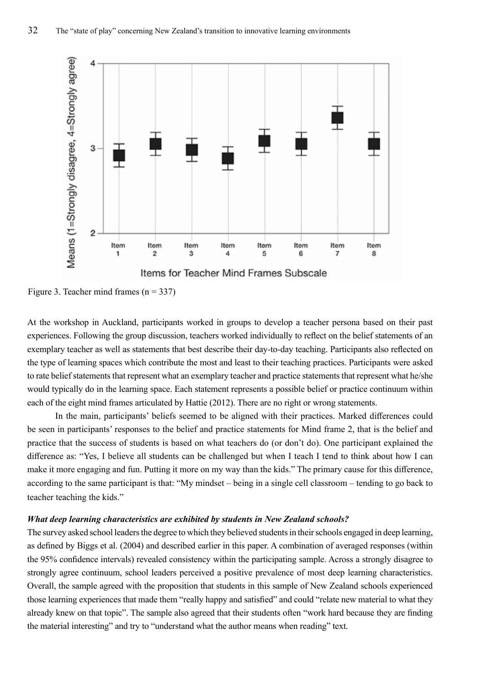

Figure 3. Teacher mind frames  $(n = 337)$ 

At the workshop in Auckland, participants worked in groups to develop a teacher persona based on their past experiences. Following the group discussion, teachers worked individually to reflect on the belief statements of an exemplary teacher as well as statements that best describe their day-to-day teaching. Participants also reflected on the type of learning spaces which contribute the most and least to their teaching practices. Participants were asked to rate belief statements that represent what an exemplary teacher and practice statements that represent what he/she would typically do in the learning space. Each statement represents a possible belief or practice continuum within each of the eight mind frames articulated by Hattie (2012). There are no right or wrong statements.

In the main, participants' beliefs seemed to be aligned with their practices. Marked differences could be seen in participants' responses to the belief and practice statements for Mind frame 2, that is the belief and practice that the success of students is based on what teachers do (or don't do). One participant explained the difference as: "Yes, I believe all students can be challenged but when I teach I tend to think about how I can make it more engaging and fun. Putting it more on my way than the kids." The primary cause for this difference, according to the same participant is that: "My mindset – being in a single cell classroom – tending to go back to teacher teaching the kids."

## *What deep learning characteristics are exhibited by students in New Zealand schools?*

The survey asked school leaders the degree to which they believed students in their schools engaged in deep learning, as defined by Biggs et al. (2004) and described earlier in this paper. A combination of averaged responses (within the 95% confidence intervals) revealed consistency within the participating sample. Across a strongly disagree to strongly agree continuum, school leaders perceived a positive prevalence of most deep learning characteristics. Overall, the sample agreed with the proposition that students in this sample of New Zealand schools experienced those learning experiences that made them "really happy and satisfied" and could "relate new material to what they already knew on that topic". The sample also agreed that their students often "work hard because they are finding the material interesting" and try to "understand what the author means when reading" text.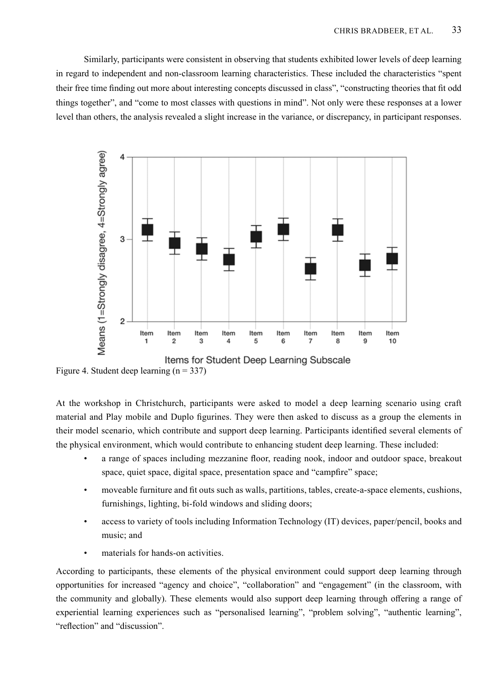Similarly, participants were consistent in observing that students exhibited lower levels of deep learning in regard to independent and non-classroom learning characteristics. These included the characteristics "spent their free time finding out more about interesting concepts discussed in class", "constructing theories that fit odd things together", and "come to most classes with questions in mind". Not only were these responses at a lower level than others, the analysis revealed a slight increase in the variance, or discrepancy, in participant responses.



Figure 4. Student deep learning  $(n = 337)$ 

At the workshop in Christchurch, participants were asked to model a deep learning scenario using craft material and Play mobile and Duplo figurines. They were then asked to discuss as a group the elements in their model scenario, which contribute and support deep learning. Participants identified several elements of the physical environment, which would contribute to enhancing student deep learning. These included:

- a range of spaces including mezzanine floor, reading nook, indoor and outdoor space, breakout space, quiet space, digital space, presentation space and "campfire" space;
- moveable furniture and fit outs such as walls, partitions, tables, create-a-space elements, cushions, furnishings, lighting, bi-fold windows and sliding doors;
- access to variety of tools including Information Technology (IT) devices, paper/pencil, books and music; and
- materials for hands-on activities.

According to participants, these elements of the physical environment could support deep learning through opportunities for increased "agency and choice", "collaboration" and "engagement" (in the classroom, with the community and globally). These elements would also support deep learning through offering a range of experiential learning experiences such as "personalised learning", "problem solving", "authentic learning", "reflection" and "discussion".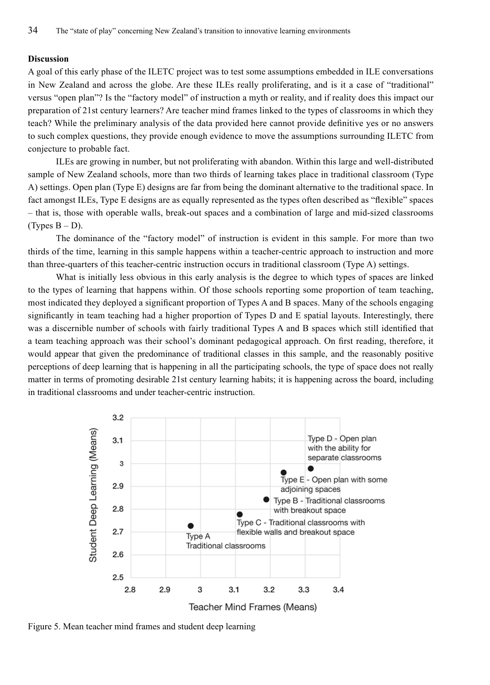## **Discussion**

A goal of this early phase of the ILETC project was to test some assumptions embedded in ILE conversations in New Zealand and across the globe. Are these ILEs really proliferating, and is it a case of "traditional" versus "open plan"? Is the "factory model" of instruction a myth or reality, and if reality does this impact our preparation of 21st century learners? Are teacher mind frames linked to the types of classrooms in which they teach? While the preliminary analysis of the data provided here cannot provide definitive yes or no answers to such complex questions, they provide enough evidence to move the assumptions surrounding ILETC from conjecture to probable fact.

ILEs are growing in number, but not proliferating with abandon. Within this large and well-distributed sample of New Zealand schools, more than two thirds of learning takes place in traditional classroom (Type A) settings. Open plan (Type E) designs are far from being the dominant alternative to the traditional space. In fact amongst ILEs, Type E designs are as equally represented as the types often described as "flexible" spaces – that is, those with operable walls, break-out spaces and a combination of large and mid-sized classrooms (Types  $B - D$ ).

The dominance of the "factory model" of instruction is evident in this sample. For more than two thirds of the time, learning in this sample happens within a teacher-centric approach to instruction and more than three-quarters of this teacher-centric instruction occurs in traditional classroom (Type A) settings.

What is initially less obvious in this early analysis is the degree to which types of spaces are linked to the types of learning that happens within. Of those schools reporting some proportion of team teaching, most indicated they deployed a significant proportion of Types A and B spaces. Many of the schools engaging significantly in team teaching had a higher proportion of Types D and E spatial layouts. Interestingly, there was a discernible number of schools with fairly traditional Types A and B spaces which still identified that a team teaching approach was their school's dominant pedagogical approach. On first reading, therefore, it would appear that given the predominance of traditional classes in this sample, and the reasonably positive perceptions of deep learning that is happening in all the participating schools, the type of space does not really matter in terms of promoting desirable 21st century learning habits; it is happening across the board, including in traditional classrooms and under teacher-centric instruction.



Figure 5. Mean teacher mind frames and student deep learning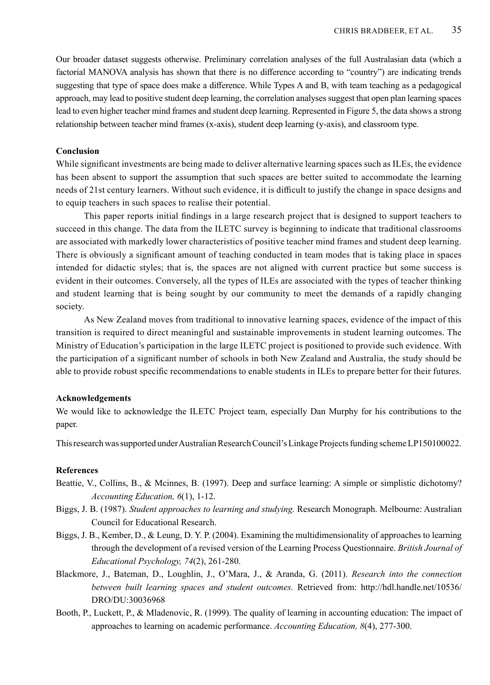Our broader dataset suggests otherwise. Preliminary correlation analyses of the full Australasian data (which a factorial MANOVA analysis has shown that there is no difference according to "country") are indicating trends suggesting that type of space does make a difference. While Types A and B, with team teaching as a pedagogical approach, may lead to positive student deep learning, the correlation analyses suggest that open plan learning spaces lead to even higher teacher mind frames and student deep learning. Represented in Figure 5, the data shows a strong relationship between teacher mind frames (x-axis), student deep learning (y-axis), and classroom type.

#### **Conclusion**

While significant investments are being made to deliver alternative learning spaces such as ILEs, the evidence has been absent to support the assumption that such spaces are better suited to accommodate the learning needs of 21st century learners. Without such evidence, it is difficult to justify the change in space designs and to equip teachers in such spaces to realise their potential.

This paper reports initial findings in a large research project that is designed to support teachers to succeed in this change. The data from the ILETC survey is beginning to indicate that traditional classrooms are associated with markedly lower characteristics of positive teacher mind frames and student deep learning. There is obviously a significant amount of teaching conducted in team modes that is taking place in spaces intended for didactic styles; that is, the spaces are not aligned with current practice but some success is evident in their outcomes. Conversely, all the types of ILEs are associated with the types of teacher thinking and student learning that is being sought by our community to meet the demands of a rapidly changing society.

As New Zealand moves from traditional to innovative learning spaces, evidence of the impact of this transition is required to direct meaningful and sustainable improvements in student learning outcomes. The Ministry of Education's participation in the large ILETC project is positioned to provide such evidence. With the participation of a significant number of schools in both New Zealand and Australia, the study should be able to provide robust specific recommendations to enable students in ILEs to prepare better for their futures.

## **Acknowledgements**

We would like to acknowledge the ILETC Project team, especially Dan Murphy for his contributions to the paper.

This research was supported under Australian Research Council's Linkage Projects funding scheme LP150100022.

#### **References**

- Beattie, V., Collins, B., & Mcinnes, B. (1997). Deep and surface learning: A simple or simplistic dichotomy? *Accounting Education, 6*(1), 1-12.
- Biggs, J. B. (1987). *Student approaches to learning and studying.* Research Monograph. Melbourne: Australian Council for Educational Research.
- Biggs, J. B., Kember, D., & Leung, D. Y. P. (2004). Examining the multidimensionality of approaches to learning through the development of a revised version of the Learning Process Questionnaire. *British Journal of Educational Psychology, 74*(2), 261-280.
- Blackmore, J., Bateman, D., Loughlin, J., O'Mara, J., & Aranda, G. (2011). *Research into the connection between built learning spaces and student outcomes.* Retrieved from: http://hdl.handle.net/10536/ DRO/DU:30036968
- Booth, P., Luckett, P., & Mladenovic, R. (1999). The quality of learning in accounting education: The impact of approaches to learning on academic performance. *Accounting Education, 8*(4), 277-300.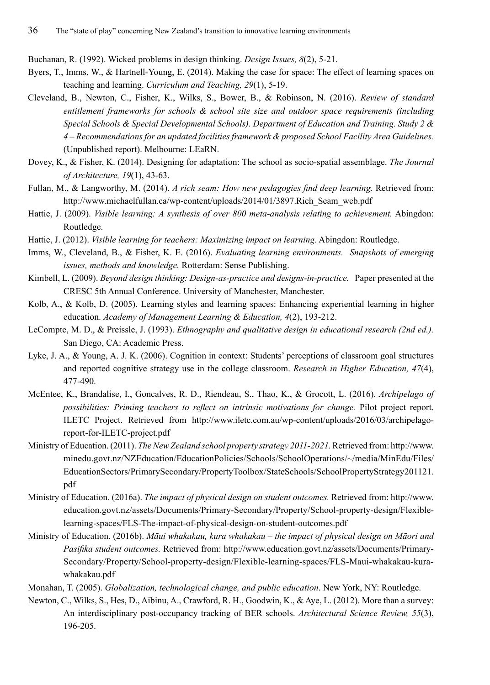Buchanan, R. (1992). Wicked problems in design thinking. *Design Issues, 8*(2), 5-21.

- Byers, T., Imms, W., & Hartnell-Young, E. (2014). Making the case for space: The effect of learning spaces on teaching and learning. *Curriculum and Teaching, 29*(1), 5-19.
- Cleveland, B., Newton, C., Fisher, K., Wilks, S., Bower, B., & Robinson, N. (2016). *Review of standard entitlement frameworks for schools & school site size and outdoor space requirements (including Special Schools & Special Developmental Schools). Department of Education and Training. Study 2 & 4 – Recommendations for an updated facilities framework & proposed School Facility Area Guidelines.* (Unpublished report). Melbourne: LEaRN.
- Dovey, K., & Fisher, K. (2014). Designing for adaptation: The school as socio-spatial assemblage. *The Journal of Architecture, 19*(1), 43-63.
- Fullan, M., & Langworthy, M. (2014). *A rich seam: How new pedagogies find deep learning.* Retrieved from: http://www.michaelfullan.ca/wp-content/uploads/2014/01/3897.Rich\_Seam\_web.pdf
- Hattie, J. (2009). *Visible learning: A synthesis of over 800 meta-analysis relating to achievement.* Abingdon: Routledge.
- Hattie, J. (2012). *Visible learning for teachers: Maximizing impact on learning.* Abingdon: Routledge.
- Imms, W., Cleveland, B., & Fisher, K. E. (2016). *Evaluating learning environments. Snapshots of emerging issues, methods and knowledge.* Rotterdam: Sense Publishing.
- Kimbell, L. (2009). *Beyond design thinking: Design-as-practice and designs-in-practice.* Paper presented at the CRESC 5th Annual Conference. University of Manchester, Manchester.
- Kolb, A., & Kolb, D. (2005). Learning styles and learning spaces: Enhancing experiential learning in higher education. *Academy of Management Learning & Education, 4*(2), 193-212.
- LeCompte, M. D., & Preissle, J. (1993). *Ethnography and qualitative design in educational research (2nd ed.).*  San Diego, CA: Academic Press.
- Lyke, J. A., & Young, A. J. K. (2006). Cognition in context: Students' perceptions of classroom goal structures and reported cognitive strategy use in the college classroom. *Research in Higher Education, 47*(4), 477-490.
- McEntee, K., Brandalise, I., Goncalves, R. D., Riendeau, S., Thao, K., & Grocott, L. (2016). *Archipelago of possibilities: Priming teachers to reflect on intrinsic motivations for change.* Pilot project report. ILETC Project. Retrieved from http://www.iletc.com.au/wp-content/uploads/2016/03/archipelagoreport-for-ILETC-project.pdf
- Ministry of Education. (2011). *The New Zealand school property strategy 2011-2021.* Retrieved from: http://www. minedu.govt.nz/NZEducation/EducationPolicies/Schools/SchoolOperations/~/media/MinEdu/Files/ EducationSectors/PrimarySecondary/PropertyToolbox/StateSchools/SchoolPropertyStrategy201121. pdf
- Ministry of Education. (2016a). *The impact of physical design on student outcomes.* Retrieved from: http://www. education.govt.nz/assets/Documents/Primary-Secondary/Property/School-property-design/Flexiblelearning-spaces/FLS-The-impact-of-physical-design-on-student-outcomes.pdf
- Ministry of Education. (2016b). *Māui whakakau, kura whakakau the impact of physical design on Māori and Pasifika student outcomes.* Retrieved from: http://www.education.govt.nz/assets/Documents/Primary-Secondary/Property/School-property-design/Flexible-learning-spaces/FLS-Maui-whakakau-kurawhakakau.pdf
- Monahan, T. (2005). *Globalization, technological change, and public education*. New York, NY: Routledge.
- Newton, C., Wilks, S., Hes, D., Aibinu, A., Crawford, R. H., Goodwin, K., & Aye, L. (2012). More than a survey: An interdisciplinary post-occupancy tracking of BER schools. *Architectural Science Review, 55*(3), 196-205.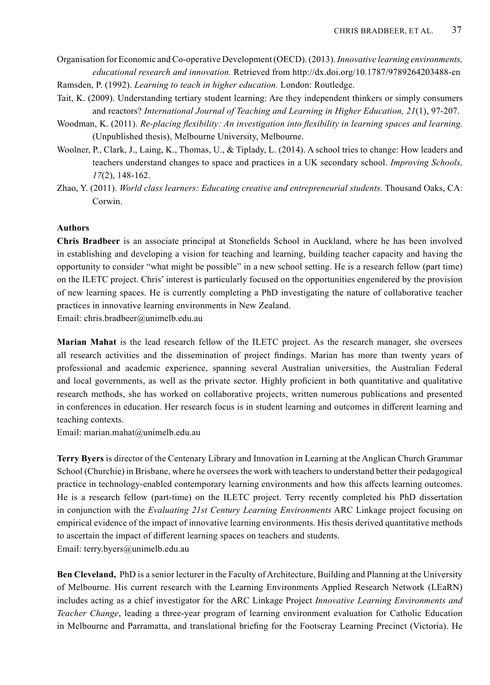- Organisation for Economic and Co-operative Development (OECD). (2013). *Innovative learning environments, educational research and innovation.* Retrieved from http://dx.doi.org/10.1787/9789264203488-en Ramsden, P. (1992). *Learning to teach in higher education.* London: Routledge.
- Tait, K. (2009). Understanding tertiary student learning: Are they independent thinkers or simply consumers and reactors? *International Journal of Teaching and Learning in Higher Education, 21*(1), 97-207.
- Woodman, K. (2011). *Re-placing flexibility: An investigation into flexibility in learning spaces and learning.* (Unpublished thesis), Melbourne University, Melbourne.
- Woolner, P., Clark, J., Laing, K., Thomas, U., & Tiplady, L. (2014). A school tries to change: How leaders and teachers understand changes to space and practices in a UK secondary school. *Improving Schools, 17*(2), 148-162.
- Zhao, Y. (2011). *World class learners: Educating creative and entrepreneurial students.* Thousand Oaks, CA: Corwin.

# **Authors**

**Chris Bradbeer** is an associate principal at Stonefields School in Auckland, where he has been involved in establishing and developing a vision for teaching and learning, building teacher capacity and having the opportunity to consider "what might be possible" in a new school setting. He is a research fellow (part time) on the ILETC project. Chris' interest is particularly focused on the opportunities engendered by the provision of new learning spaces. He is currently completing a PhD investigating the nature of collaborative teacher practices in innovative learning environments in New Zealand.

Email: chris.bradbeer@unimelb.edu.au

**Marian Mahat** is the lead research fellow of the ILETC project. As the research manager, she oversees all research activities and the dissemination of project findings. Marian has more than twenty years of professional and academic experience, spanning several Australian universities, the Australian Federal and local governments, as well as the private sector. Highly proficient in both quantitative and qualitative research methods, she has worked on collaborative projects, written numerous publications and presented in conferences in education. Her research focus is in student learning and outcomes in different learning and teaching contexts.

Email: marian.mahat@unimelb.edu.au

**Terry Byers** is director of the Centenary Library and Innovation in Learning at the Anglican Church Grammar School (Churchie) in Brisbane, where he oversees the work with teachers to understand better their pedagogical practice in technology-enabled contemporary learning environments and how this affects learning outcomes. He is a research fellow (part-time) on the ILETC project. Terry recently completed his PhD dissertation in conjunction with the *Evaluating 21st Century Learning Environments* ARC Linkage project focusing on empirical evidence of the impact of innovative learning environments. His thesis derived quantitative methods to ascertain the impact of different learning spaces on teachers and students. Email: terry.byers@unimelb.edu.au

**Ben Cleveland,** PhD is a senior lecturer in the Faculty of Architecture, Building and Planning at the University of Melbourne. His current research with the Learning Environments Applied Research Network (LEaRN) includes acting as a chief investigator for the ARC Linkage Project *Innovative Learning Environments and Teacher Change*, leading a three-year program of learning environment evaluation for Catholic Education in Melbourne and Parramatta, and translational briefing for the Footscray Learning Precinct (Victoria). He